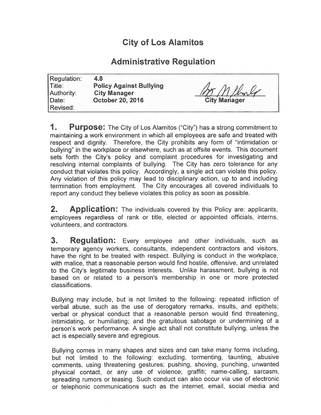## City of Los Alamitos

## Administrative Regulation

| Regulation:                      | 4.8                                                                              |                     |
|----------------------------------|----------------------------------------------------------------------------------|---------------------|
| $\mathsf{Title}$ :<br>Authority: | <b>Policy Against Bullying</b><br><b>City Manager</b><br><b>October 20, 2016</b> | Mr Milmly           |
| Date:<br>Revised:                |                                                                                  | <b>City Manager</b> |

**1.** Purpose: The City of Los Alamitos ("City") has a strong commitment to maintaining a work environment in which all employees are safe and treated with respect and dignity. Therefore, the City prohibits any form of "intimidation or bullying" in the workplace or elsewhere, such as at offsite events. This document sets forth the City's policy and complaint procedures for investigating and resolving internal complaints of bullying. The City has zero tolerance for any conduct that violates this policy. Accordingly, a single act can violate this policy. Any violation of this policy may lead to disciplinary action, up to and including termination from employment. The City encourages all covered individuals to report any conduct they believe violates this policy as soon as possible.

**2.** Application: The individuals covered by this Policy are: applicants, employees regardless of rank or title, elected or appointed officials, interns, volunteers, and contractors.

**3. Regulation:** Every employee and other individuals, such as temporary agency workers, consultants, independent contractors and visitors, have the right to be treated with respect. Bullying is conduct in the workplace, with malice, that a reasonable person would find hostile, offensive, and unrelated to the City's legitimate business interests. Unlike harassment, bullying is not based on or related to a person's membership in one or more protected classifications.

Bullying may include, but is not limited to the following: repeated infliction of verbal abuse, such as the use of derogatory remarks, insults, and epithets; verbal or physical conduct that a reasonable person would find threatening, intimidating, or humiliating; and the gratuitous sabotage or undermining of a person's work performance. A single act shall not constitute bullying, unless the act is especially severe and egregious.

Bullying comes in many shapes and sizes and can take many forms including, but not limited to the following: excluding, tormenting, taunting, abusive comments, using threatening gestures; pushing, shoving, punching, unwanted physical contact, or any use of violence; graffiti; name-calling, sarcasm, spreading rumors or teasing. Such conduct can also occur via use of electronic or telephonic communications such as the internet, email, social media and